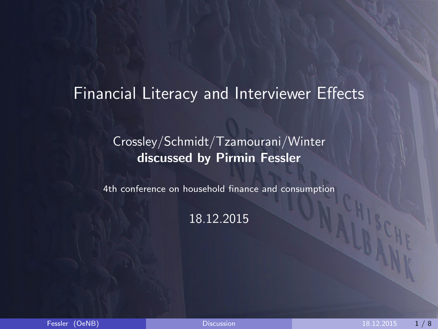#### <span id="page-0-0"></span>Financial Literacy and Interviewer Effects

#### Crossley/Schmidt/Tzamourani/Winter discussed by Pirmin Fessler

4th conference on household finance and consumption

#### 18.12.2015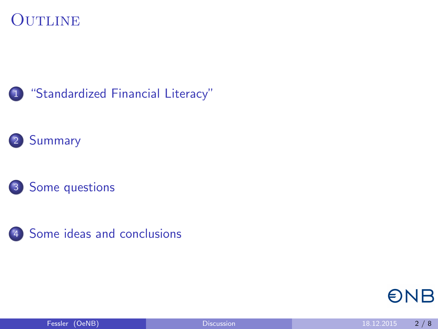#### **OUTLINE**









**ONB**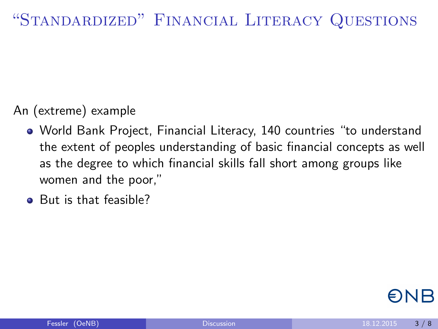# <span id="page-2-0"></span>"Standardized" Financial Literacy Questions

#### An (extreme) example

- World Bank Project, Financial Literacy, 140 countries "to understand the extent of peoples understanding of basic financial concepts as well as the degree to which financial skills fall short among groups like women and the poor,"
- But is that feasible?

ENR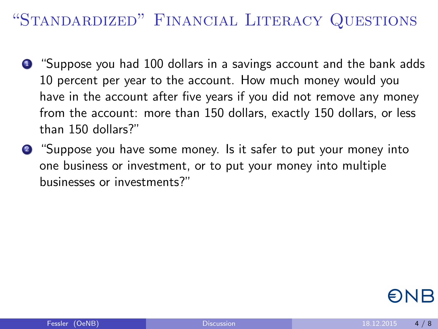# "Standardized" Financial Literacy Questions

- <sup>1</sup> "Suppose you had 100 dollars in a savings account and the bank adds 10 percent per year to the account. How much money would you have in the account after five years if you did not remove any money from the account: more than 150 dollars, exactly 150 dollars, or less than 150 dollars?"
- <sup>2</sup> "Suppose you have some money. Is it safer to put your money into one business or investment, or to put your money into multiple businesses or investments?"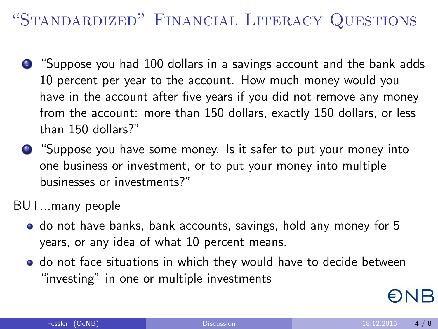# "Standardized" Financial Literacy Questions

- <sup>1</sup> "Suppose you had 100 dollars in a savings account and the bank adds 10 percent per year to the account. How much money would you have in the account after five years if you did not remove any money from the account: more than 150 dollars, exactly 150 dollars, or less than 150 dollars?"
- <sup>2</sup> "Suppose you have some money. Is it safer to put your money into one business or investment, or to put your money into multiple businesses or investments?"

BUT...many people

- do not have banks, bank accounts, savings, hold any money for 5 years, or any idea of what 10 percent means.
- **o** do not face situations in which they would have to decide between "investing" in one or multiple investments

ONB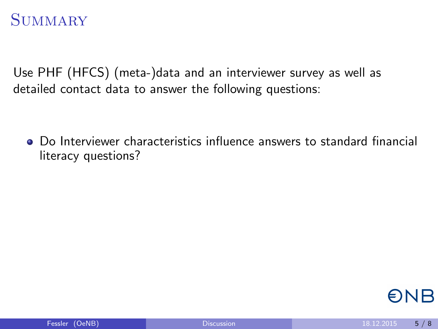<span id="page-5-0"></span>Use PHF (HFCS) (meta-)data and an interviewer survey as well as detailed contact data to answer the following questions:

Do Interviewer characteristics influence answers to standard financial literacy questions?

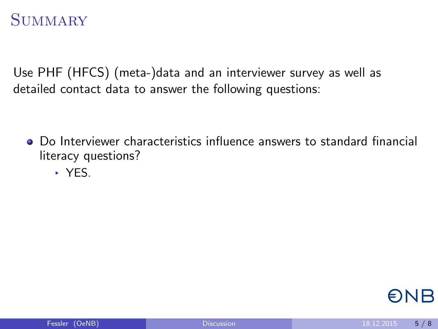Use PHF (HFCS) (meta-)data and an interviewer survey as well as detailed contact data to answer the following questions:

- Do Interviewer characteristics influence answers to standard financial literacy questions?
	- ▸ YES.

ONB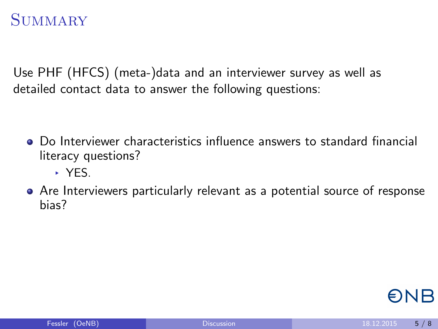Use PHF (HFCS) (meta-)data and an interviewer survey as well as detailed contact data to answer the following questions:

- Do Interviewer characteristics influence answers to standard financial literacy questions?
	- ▸ YES.
- Are Interviewers particularly relevant as a potential source of response bias?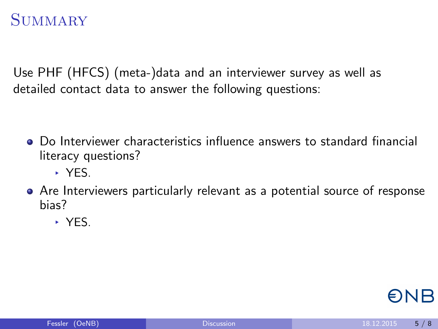Use PHF (HFCS) (meta-)data and an interviewer survey as well as detailed contact data to answer the following questions:

- Do Interviewer characteristics influence answers to standard financial literacy questions?
	- ▸ YES.
- Are Interviewers particularly relevant as a potential source of response bias?
	- ▸ YES.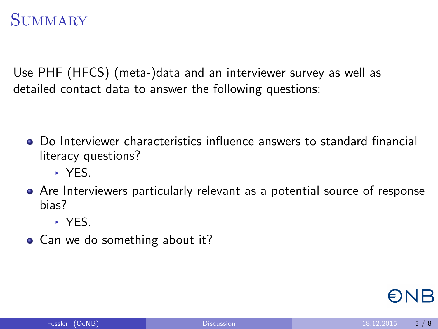Use PHF (HFCS) (meta-)data and an interviewer survey as well as detailed contact data to answer the following questions:

- Do Interviewer characteristics influence answers to standard financial literacy questions?
	- ▸ YES.
- Are Interviewers particularly relevant as a potential source of response bias?
	- ▸ YES.
- Can we do something about it?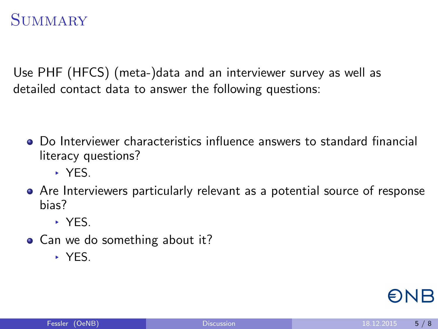Use PHF (HFCS) (meta-)data and an interviewer survey as well as detailed contact data to answer the following questions:

- Do Interviewer characteristics influence answers to standard financial literacy questions?
	- ▸ YES.
- Are Interviewers particularly relevant as a potential source of response bias?
	- ▸ YES.
- Can we do something about it?
	- ▸ YES.

ENR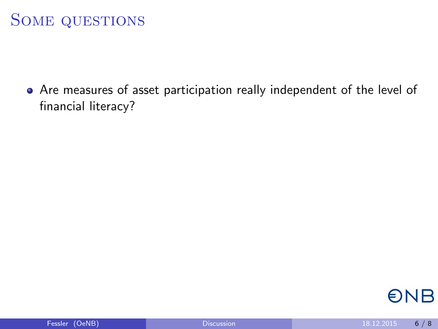## <span id="page-11-0"></span>Some questions

Are measures of asset participation really independent of the level of financial literacy?

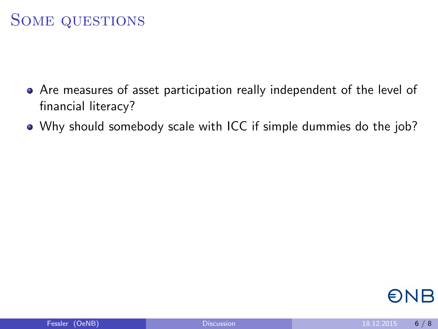#### Some questions

- Are measures of asset participation really independent of the level of financial literacy?
- Why should somebody scale with ICC if simple dummies do the job?

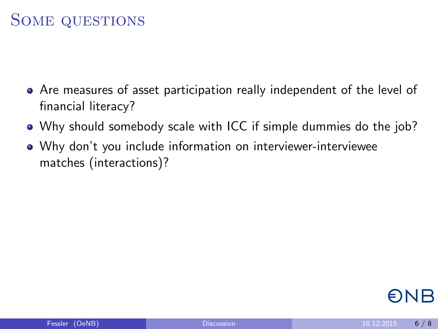## SOME QUESTIONS

- Are measures of asset participation really independent of the level of financial literacy?
- Why should somebody scale with ICC if simple dummies do the job?
- Why don't you include information on interviewer-interviewee matches (interactions)?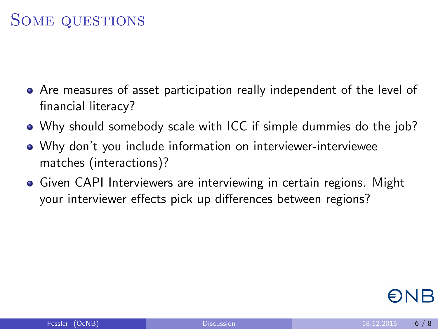## Some questions

- Are measures of asset participation really independent of the level of financial literacy?
- Why should somebody scale with ICC if simple dummies do the job?
- Why don't you include information on interviewer-interviewee matches (interactions)?
- **Given CAPI Interviewers are interviewing in certain regions. Might** your interviewer effects pick up differences between regions?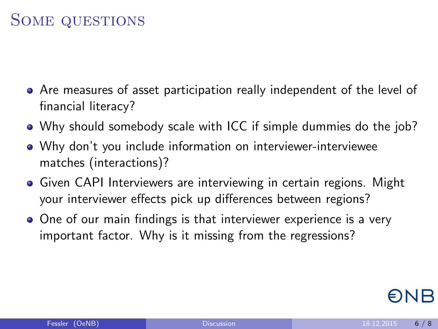## Some questions

- Are measures of asset participation really independent of the level of financial literacy?
- Why should somebody scale with ICC if simple dummies do the job?
- Why don't you include information on interviewer-interviewee matches (interactions)?
- **Given CAPI Interviewers are interviewing in certain regions. Might** your interviewer effects pick up differences between regions?
- One of our main findings is that interviewer experience is a very important factor. Why is it missing from the regressions?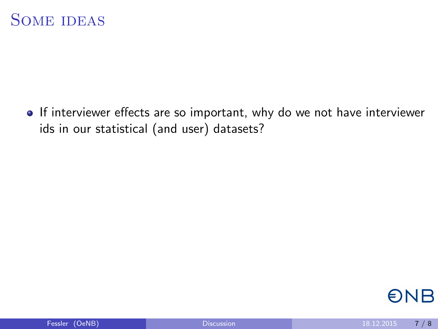<span id="page-16-0"></span>• If interviewer effects are so important, why do we not have interviewer ids in our statistical (and user) datasets?

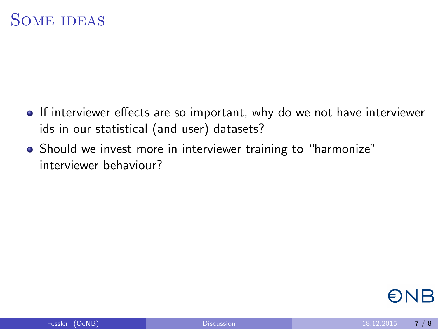- **If interviewer effects are so important, why do we not have interviewer** ids in our statistical (and user) datasets?
- Should we invest more in interviewer training to "harmonize" interviewer behaviour?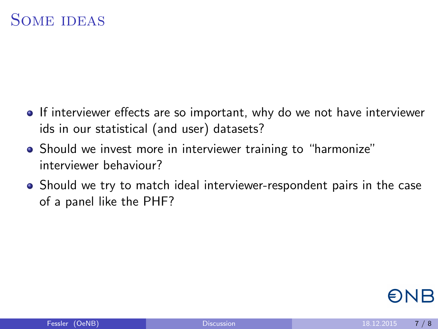- **If interviewer effects are so important, why do we not have interviewer** ids in our statistical (and user) datasets?
- Should we invest more in interviewer training to "harmonize" interviewer behaviour?
- Should we try to match ideal interviewer-respondent pairs in the case of a panel like the PHF?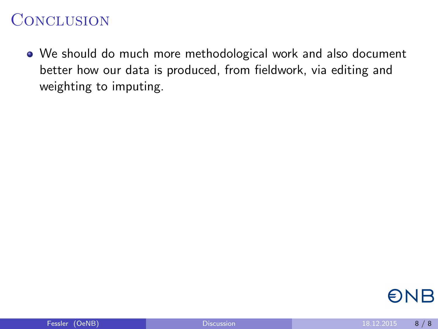#### **CONCLUSION**

We should do much more methodological work and also document better how our data is produced, from fieldwork, via editing and weighting to imputing.

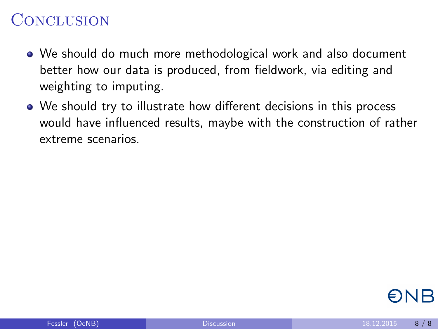- We should do much more methodological work and also document better how our data is produced, from fieldwork, via editing and weighting to imputing.
- We should try to illustrate how different decisions in this process would have influenced results, maybe with the construction of rather extreme scenarios.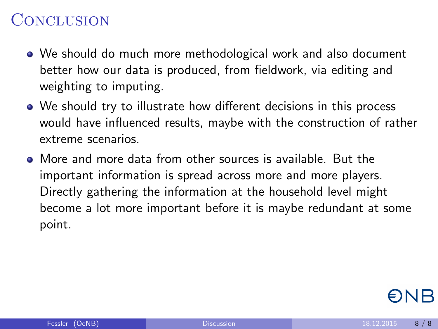- We should do much more methodological work and also document better how our data is produced, from fieldwork, via editing and weighting to imputing.
- We should try to illustrate how different decisions in this process would have influenced results, maybe with the construction of rather extreme scenarios.
- More and more data from other sources is available. But the important information is spread across more and more players. Directly gathering the information at the household level might become a lot more important before it is maybe redundant at some point.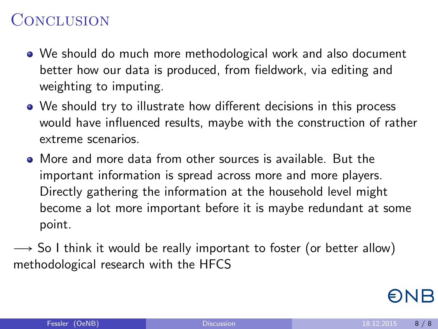- We should do much more methodological work and also document better how our data is produced, from fieldwork, via editing and weighting to imputing.
- We should try to illustrate how different decisions in this process would have influenced results, maybe with the construction of rather extreme scenarios.
- More and more data from other sources is available. But the important information is spread across more and more players. Directly gathering the information at the household level might become a lot more important before it is maybe redundant at some point.
- $\rightarrow$  So I think it would be really important to foster (or better allow) methodological research with the HFCS